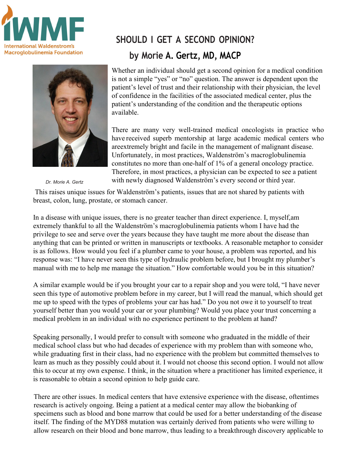



```
Dr. Morie A. Gertz
```
## **SHOULD I GET A SECOND OPINION? by Morie A. Gertz, MD, MACP**

Whether an individual should get a second opinion for a medical condition is not a simple "yes" or "no" question. The answer is dependent upon the patient's level of trust and their relationship with their physician, the level of confidence in the facilities of the associated medical center, plus the patient's understanding of the condition and the therapeutic options available.

There are many very well-trained medical oncologists in practice who have received superb mentorship at large academic medical centers who areextremely bright and facile in the management of malignant disease. Unfortunately, in most practices, Waldenström's macroglobulinemia constitutes no more than one-half of 1% of a general oncology practice. Therefore, in most practices, a physician can be expected to see a patient with newly diagnosed Waldenström's every second or third year.

This raises unique issues for Waldenström's patients, issues that are not shared by patients with breast, colon, lung, prostate, or stomach cancer.

In a disease with unique issues, there is no greater teacher than direct experience. I, myself,am extremely thankful to all the Waldenström's macroglobulinemia patients whom I have had the privilege to see and serve over the years because they have taught me more about the disease than anything that can be printed or written in manuscripts or textbooks. A reasonable metaphor to consider is as follows. How would you feel if a plumber came to your house, a problem was reported, and his response was: "I have never seen this type of hydraulic problem before, but I brought my plumber's manual with me to help me manage the situation." How comfortable would you be in this situation?

A similar example would be if you brought your car to a repair shop and you were told, "I have never seen this type of automotive problem before in my career, but I will read the manual, which should get me up to speed with the types of problems your car has had." Do you not owe it to yourself to treat yourself better than you would your car or your plumbing? Would you place your trust concerning a medical problem in an individual with no experience pertinent to the problem at hand?

Speaking personally, I would prefer to consult with someone who graduated in the middle of their medical school class but who had decades of experience with my problem than with someone who, while graduating first in their class, had no experience with the problem but committed themselves to learn as much as they possibly could about it. I would not choose this second option. I would not allow this to occur at my own expense. I think, in the situation where a practitioner has limited experience, it is reasonable to obtain a second opinion to help guide care.

There are other issues. In medical centers that have extensive experience with the disease, oftentimes research is actively ongoing. Being a patient at a medical center may allow the biobanking of specimens such as blood and bone marrow that could be used for a better understanding of the disease itself. The finding of the MYD88 mutation was certainly derived from patients who were willing to allow research on their blood and bone marrow, thus leading to a breakthrough discovery applicable to